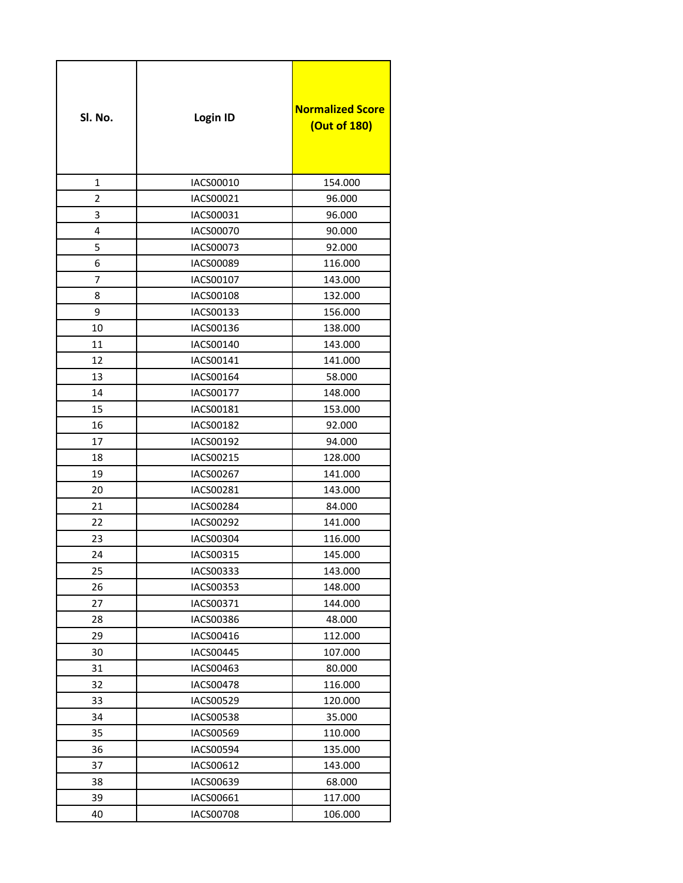| Sl. No.        | Login ID         | <b>Normalized Score</b><br>(Out of 180) |
|----------------|------------------|-----------------------------------------|
| 1              | IACS00010        | 154.000                                 |
| $\overline{2}$ | IACS00021        | 96.000                                  |
| 3              | IACS00031        | 96.000                                  |
| 4              | <b>IACS00070</b> | 90.000                                  |
| 5              | IACS00073        | 92.000                                  |
| 6              | IACS00089        | 116.000                                 |
| 7              | IACS00107        | 143.000                                 |
| 8              | IACS00108        | 132.000                                 |
| 9              | IACS00133        | 156.000                                 |
| 10             | IACS00136        | 138.000                                 |
| 11             | IACS00140        | 143.000                                 |
| 12             | IACS00141        | 141.000                                 |
| 13             | IACS00164        | 58.000                                  |
| 14             | IACS00177        | 148.000                                 |
| 15             | IACS00181        | 153.000                                 |
| 16             | IACS00182        | 92.000                                  |
| 17             | IACS00192        | 94.000                                  |
| 18             | IACS00215        | 128.000                                 |
| 19             | IACS00267        | 141.000                                 |
| 20             | IACS00281        | 143.000                                 |
| 21             | <b>IACS00284</b> | 84.000                                  |
| 22             | IACS00292        | 141.000                                 |
| 23             | IACS00304        | 116.000                                 |
| 24             | IACS00315        | 145.000                                 |
| 25             | IACS00333        | 143.000                                 |
| 26             | IACS00353        | 148.000                                 |
| 27             | IACS00371        | 144.000                                 |
| 28             | IACS00386        | 48.000                                  |
| 29             | IACS00416        | 112.000                                 |
| 30             | IACS00445        | 107.000                                 |
| 31             | IACS00463        | 80.000                                  |
| 32             | <b>IACS00478</b> | 116.000                                 |
| 33             | IACS00529        | 120.000                                 |
| 34             | IACS00538        | 35.000                                  |
| 35             | <b>IACS00569</b> | 110.000                                 |
| 36             | IACS00594        | 135.000                                 |
| 37             | IACS00612        | 143.000                                 |
| 38             | IACS00639        | 68.000                                  |
| 39             | IACS00661        | 117.000                                 |
| 40             | IACS00708        | 106.000                                 |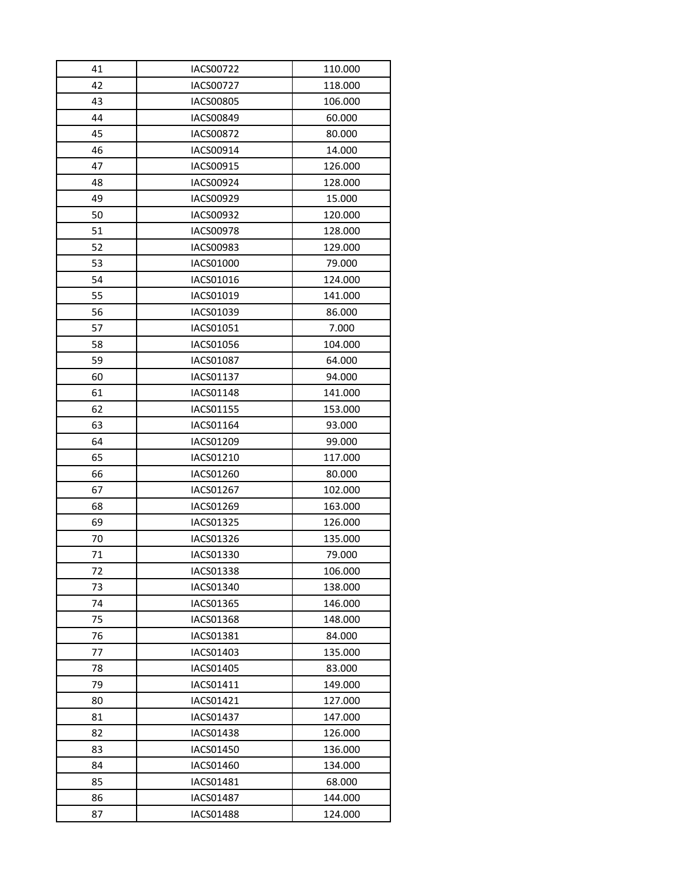| 41 | IACS00722        | 110.000 |
|----|------------------|---------|
| 42 | <b>IACS00727</b> | 118.000 |
| 43 | IACS00805        | 106.000 |
| 44 | IACS00849        | 60.000  |
| 45 | <b>IACS00872</b> | 80.000  |
| 46 | IACS00914        | 14.000  |
| 47 | IACS00915        | 126.000 |
| 48 | IACS00924        | 128.000 |
| 49 | IACS00929        | 15.000  |
| 50 | IACS00932        | 120.000 |
| 51 | <b>IACS00978</b> | 128.000 |
| 52 | IACS00983        | 129.000 |
| 53 | IACS01000        | 79.000  |
| 54 | IACS01016        | 124.000 |
| 55 | IACS01019        | 141.000 |
| 56 | IACS01039        | 86.000  |
| 57 | IACS01051        | 7.000   |
| 58 | IACS01056        | 104.000 |
| 59 | <b>IACS01087</b> | 64.000  |
| 60 | IACS01137        | 94.000  |
| 61 | <b>IACS01148</b> | 141.000 |
| 62 | IACS01155        | 153.000 |
| 63 | IACS01164        | 93.000  |
| 64 | IACS01209        | 99.000  |
| 65 | IACS01210        | 117.000 |
| 66 | IACS01260        | 80.000  |
| 67 | IACS01267        | 102.000 |
| 68 | IACS01269        | 163.000 |
| 69 | IACS01325        | 126.000 |
| 70 | IACS01326        | 135.000 |
| 71 | IACS01330        | 79.000  |
| 72 | <b>IACS01338</b> | 106.000 |
| 73 | IACS01340        | 138.000 |
| 74 | IACS01365        | 146.000 |
| 75 | <b>IACS01368</b> | 148.000 |
| 76 | IACS01381        | 84.000  |
| 77 | IACS01403        | 135.000 |
| 78 | IACS01405        | 83.000  |
| 79 | IACS01411        | 149.000 |
| 80 | IACS01421        | 127.000 |
| 81 | <b>IACS01437</b> | 147.000 |
| 82 | <b>IACS01438</b> | 126.000 |
| 83 | IACS01450        | 136.000 |
| 84 | IACS01460        | 134.000 |
| 85 | IACS01481        | 68.000  |
| 86 | <b>IACS01487</b> | 144.000 |
| 87 | <b>IACS01488</b> | 124.000 |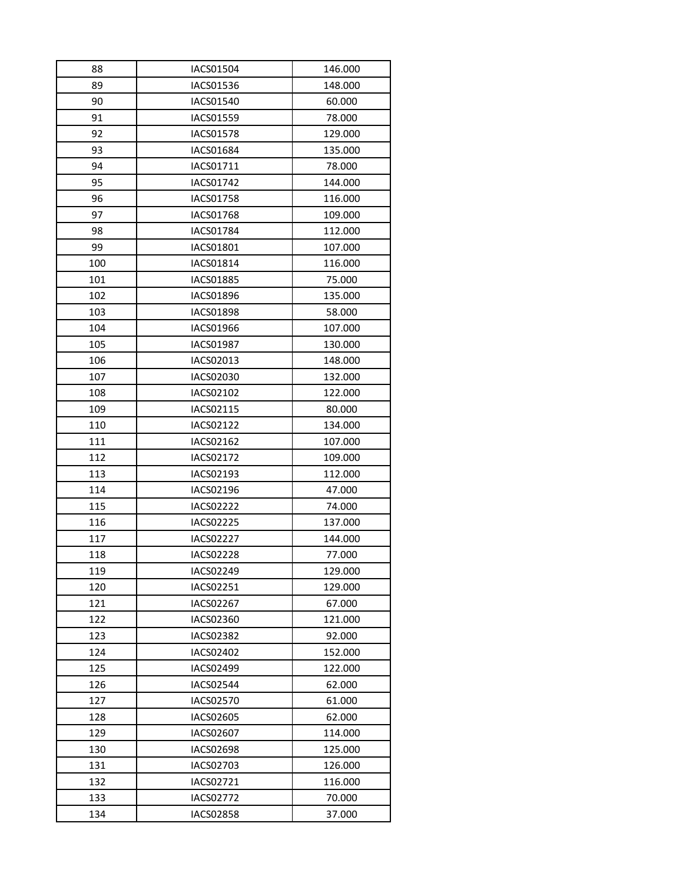| 88  | <b>IACS01504</b> | 146.000 |
|-----|------------------|---------|
| 89  | IACS01536        | 148.000 |
| 90  | IACS01540        | 60.000  |
| 91  | IACS01559        | 78.000  |
| 92  | <b>IACS01578</b> | 129.000 |
| 93  | <b>IACS01684</b> | 135.000 |
| 94  | IACS01711        | 78.000  |
| 95  | IACS01742        | 144.000 |
| 96  | <b>IACS01758</b> | 116.000 |
| 97  | <b>IACS01768</b> | 109.000 |
| 98  | IACS01784        | 112.000 |
| 99  | IACS01801        | 107.000 |
| 100 | IACS01814        | 116.000 |
| 101 | <b>IACS01885</b> | 75.000  |
| 102 | <b>IACS01896</b> | 135.000 |
| 103 | <b>IACS01898</b> | 58.000  |
| 104 | IACS01966        | 107.000 |
| 105 | <b>IACS01987</b> | 130.000 |
| 106 | IACS02013        | 148.000 |
| 107 | <b>IACS02030</b> | 132.000 |
| 108 | IACS02102        | 122.000 |
| 109 | IACS02115        | 80.000  |
| 110 | IACS02122        | 134.000 |
| 111 | IACS02162        | 107.000 |
| 112 | IACS02172        | 109.000 |
| 113 | IACS02193        | 112.000 |
| 114 | IACS02196        | 47.000  |
| 115 | <b>IACS02222</b> | 74.000  |
| 116 | <b>IACS02225</b> | 137.000 |
| 117 | <b>IACS02227</b> | 144.000 |
| 118 | <b>IACS02228</b> | 77.000  |
| 119 | IACS02249        | 129.000 |
| 120 | IACS02251        | 129.000 |
| 121 | <b>IACS02267</b> | 67.000  |
| 122 | IACS02360        | 121.000 |
| 123 | <b>IACS02382</b> | 92.000  |
| 124 | IACS02402        | 152.000 |
| 125 | <b>IACS02499</b> | 122.000 |
| 126 | <b>IACS02544</b> | 62.000  |
| 127 | <b>IACS02570</b> | 61.000  |
| 128 | IACS02605        | 62.000  |
| 129 | IACS02607        | 114.000 |
| 130 | IACS02698        | 125.000 |
| 131 | IACS02703        | 126.000 |
| 132 | IACS02721        | 116.000 |
| 133 | <b>IACS02772</b> | 70.000  |
| 134 | IACS02858        | 37.000  |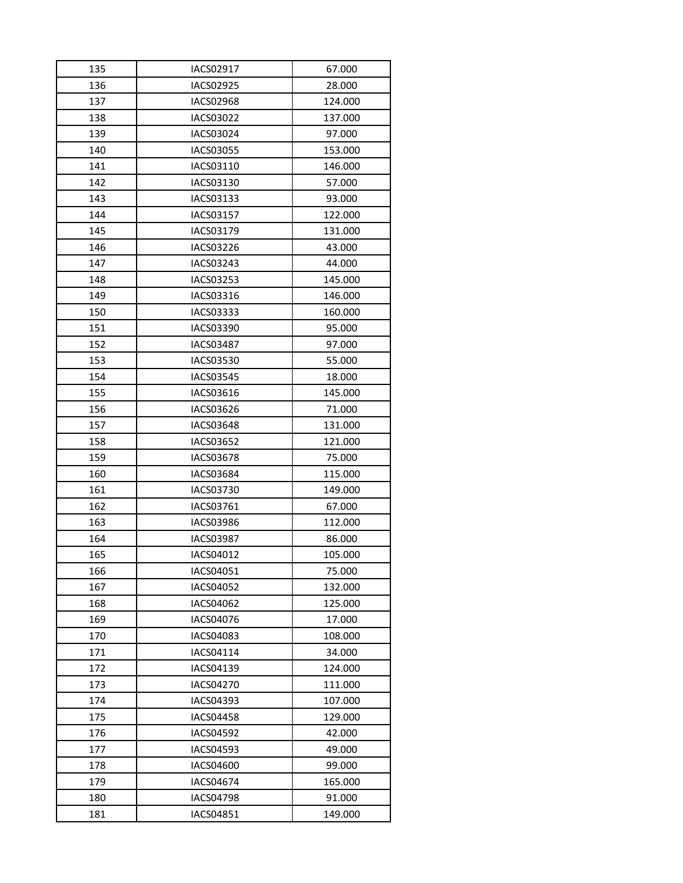| 135 | IACS02917        | 67.000  |
|-----|------------------|---------|
| 136 | IACS02925        | 28.000  |
| 137 | IACS02968        | 124.000 |
| 138 | IACS03022        | 137.000 |
| 139 | IACS03024        | 97.000  |
| 140 | <b>IACS03055</b> | 153.000 |
| 141 | IACS03110        | 146.000 |
| 142 | IACS03130        | 57.000  |
| 143 | IACS03133        | 93.000  |
| 144 | IACS03157        | 122.000 |
| 145 | IACS03179        | 131.000 |
| 146 | IACS03226        | 43.000  |
| 147 | IACS03243        | 44.000  |
| 148 | IACS03253        | 145.000 |
| 149 | IACS03316        | 146.000 |
| 150 | IACS03333        | 160.000 |
| 151 | IACS03390        | 95.000  |
| 152 | <b>IACS03487</b> | 97.000  |
| 153 | IACS03530        | 55.000  |
| 154 | <b>IACS03545</b> | 18.000  |
| 155 | IACS03616        | 145.000 |
| 156 | IACS03626        | 71.000  |
| 157 | <b>IACS03648</b> | 131.000 |
| 158 | IACS03652        | 121.000 |
| 159 | <b>IACS03678</b> | 75.000  |
| 160 | <b>IACS03684</b> | 115.000 |
| 161 | IACS03730        | 149.000 |
| 162 | IACS03761        | 67.000  |
| 163 | <b>IACS03986</b> | 112.000 |
| 164 | IACS03987        | 86.000  |
| 165 | IACS04012        | 105.000 |
| 166 | IACS04051        | 75.000  |
| 167 | IACS04052        | 132.000 |
| 168 | IACS04062        | 125.000 |
| 169 | <b>IACS04076</b> | 17.000  |
| 170 | IACS04083        | 108.000 |
| 171 | IACS04114        | 34.000  |
| 172 | <b>IACS04139</b> | 124.000 |
| 173 | <b>IACS04270</b> | 111.000 |
| 174 | IACS04393        | 107.000 |
| 175 | IACS04458        | 129.000 |
| 176 | <b>IACS04592</b> | 42.000  |
| 177 | <b>IACS04593</b> | 49.000  |
| 178 | <b>IACS04600</b> | 99.000  |
| 179 | <b>IACS04674</b> | 165.000 |
| 180 | IACS04798        | 91.000  |
| 181 | IACS04851        | 149.000 |